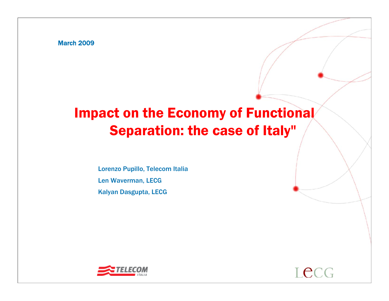March 2009

# Impact on the Economy of Functional Separation: the case of Italy"

Lorenzo Pupillo, Telecom Italia Len Waverman, LECG Kalyan Dasgupta, LECG

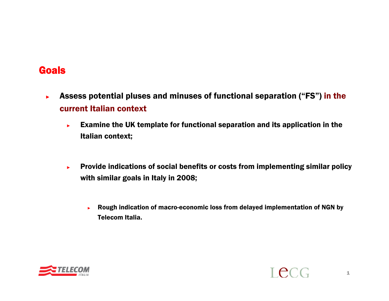## **Goals**

- ► Assess potential pluses and minuses of functional separation ("FS") in the current Italian context
	- ► Examine the UK template for functional separation and its application in the Italian context;
	- ► Provide indications of social benefits or costs from implementing similar policy with similar goals in Italy in 2008;
		- ► Rough indication of macro-economic loss from delayed implementation of NGN by Telecom Italia.

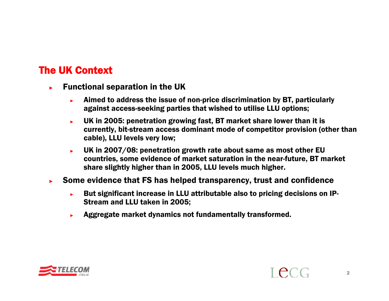## The UK Context

- ► Functional separation in the UK
	- ► Aimed to address the issue of non-price discrimination by BT, particularly against access-seeking parties that wished to utilise LLU options;
	- ► UK in 2005: penetration growing fast, BT market share lower than it is currently, bit-stream access dominant mode of competitor provision (other than cable), LLU levels very low;
	- ► UK in 2007/08: penetration growth rate about same as most other EU countries, some evidence of market saturation in the near-future, BT market share slightly higher than in 2005, LLU levels much higher.
- ► Some evidence that FS has helped transparency, trust and confidence
	- ► But significant increase in LLU attributable also to pricing decisions on IP-Stream and LLU taken in 2005;
	- ►Aggregate market dynamics not fundamentally transformed.

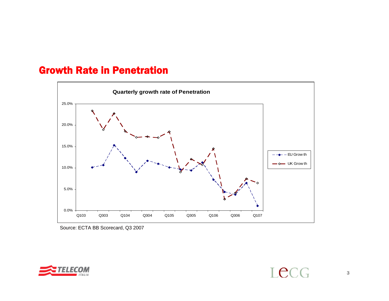#### Growth Rate in Penetration



Source: ECTA BB Scorecard, Q3 2007



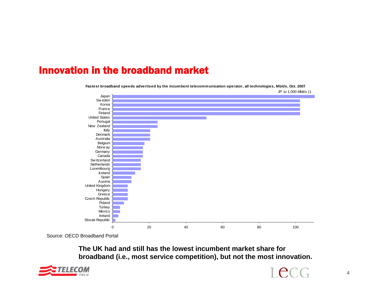#### Innovation in the broadband market

**Fastest broadband speeds advertised by the incumbent telecommunication operator, all technologies, Mbit/s, Oct. 2007**



Source: OECD Broadband Portal

**The UK had and still has the lowest incumbent market share for broadband (i.e., most service competition), but not the most innovation.**



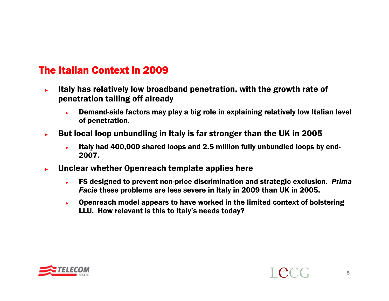## The Italian Context in 2009

- ► Italy has relatively low broadband penetration, with the growth rate of penetration tailing off already
	- ► Demand-side factors may play a big role in explaining relatively low Italian level of penetration.
- ► But local loop unbundling in Italy is far stronger than the UK in 2005
	- ► Italy had 400,000 shared loops and 2.5 million fully unbundled loops by end-2007.
- ► Unclear whether Openreach template applies here
	- ► FS designed to prevent non-price discrimination and strategic exclusion. *Prima Facie* these problems are less severe in Italy in 2009 than UK in 2005.
	- ► Openreach model appears to have worked in the limited context of bolstering LLU. How relevant is this to Italy's needs today?

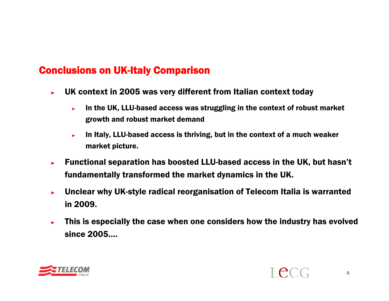## Conclusions on UK-Italy Comparison

- ► UK context in 2005 was very different from Italian context today
	- ► In the UK, LLU-based access was struggling in the context of robust market growth and robust market demand
	- ► In Italy, LLU-based access is thriving, but in the context of a much weaker market picture.
- ► Functional separation has boosted LLU-based access in the UK, but hasn't fundamentally transformed the market dynamics in the UK.
- ► Unclear why UK-style radical reorganisation of Telecom Italia is warranted in 2009.
- ► This is especially the case when one considers how the industry has evolved since 2005….

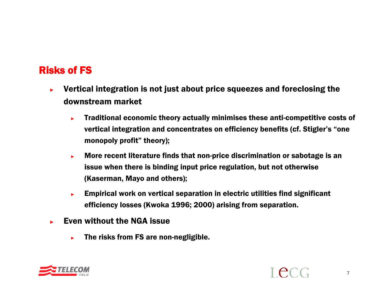## Risks of FS

- ► Vertical integration is not just about price squeezes and foreclosing the downstream market
	- ► Traditional economic theory actually minimises these anti-competitive costs of vertical integration and concentrates on efficiency benefits (cf. Stigler's "one monopoly profit" theory);
	- ► More recent literature finds that non-price discrimination or sabotage is an issue when there is binding input price regulation, but not otherwise (Kaserman, Mayo and others);
	- ► Empirical work on vertical separation in electric utilities find significant efficiency losses (Kwoka 1996; 2000) arising from separation.
- ► Even without the NGA issue
	- ►The risks from FS are non-negligible.

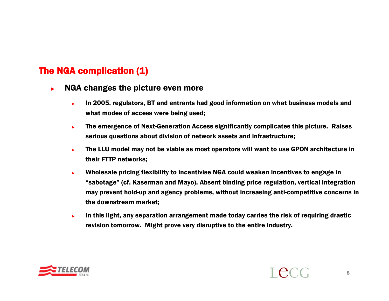#### The NGA complication (1)

- ► NGA changes the picture even more
	- ► In 2005, regulators, BT and entrants had good information on what business models and what modes of access were being used;
	- ► The emergence of Next-Generation Access significantly complicates this picture. Raises serious questions about division of network assets and infrastructure;
	- ► The LLU model may not be viable as most operators will want to use GPON architecture in their FTTP networks;
	- ► Wholesale pricing flexibility to incentivise NGA could weaken incentives to engage in "sabotage" (cf. Kaserman and Mayo). Absent binding price regulation, vertical integration may prevent hold-up and agency problems, without increasing anti-competitive concerns in the downstream market;
	- ► In this light, any separation arrangement made today carries the risk of requiring drastic revision tomorrow. Might prove very disruptive to the entire industry.

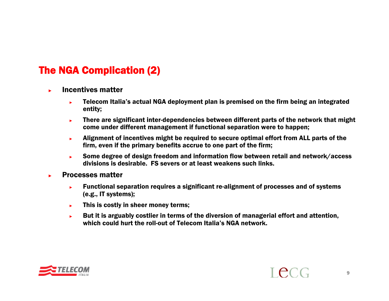## The NGA Complication (2)

- ► Incentives matter
	- ► Telecom Italia's actual NGA deployment plan is premised on the firm being an integrated entity;
	- ► There are significant inter-dependencies between different parts of the network that might come under different management if functional separation were to happen;
	- ► Alignment of incentives might be required to secure optimal effort from ALL parts of the firm, even if the primary benefits accrue to one part of the firm;
	- ► Some degree of design freedom and information flow between retail and network/access divisions is desirable. FS severs or at least weakens such links.
- ► Processes matter
	- ► Functional separation requires a significant re-alignment of processes and of systems (e.g., IT systems);
	- ►This is costly in sheer money terms;
	- ► But it is arguably costlier in terms of the diversion of managerial effort and attention, which could hurt the roll-out of Telecom Italia's NGA network.

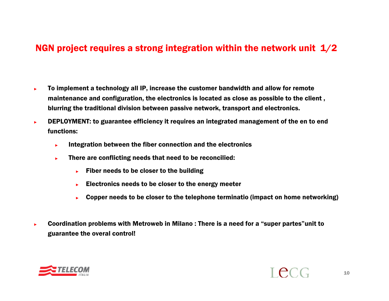#### NGN project requires a strong integration within the network unit  $1/2$

- ► To implement a technology all IP, increase the customer bandwidth and allow for remote maintenance and configuration, the electronics is located as close as possible to the client , blurring the traditional division between passive network, transport and electronics.
- ► DEPLOYMENT: to guarantee efficiency it requires an integrated management of the en to end functions:
	- ►Integration between the fiber connection and the electronics
	- ► There are conflicting needs that need to be reconcilied:
		- ►Fiber needs to be closer to the building
		- ►Electronics needs to be closer to the energy meeter
		- ►Copper needs to be closer to the telephone terminatio (impact on home networking)
- ► Coordination problems with Metroweb in Milano : There is a need for a "super partes"unit to guarantee the overal control!

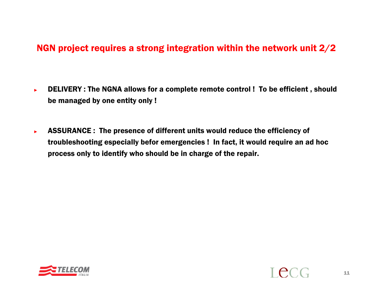#### NGN project requires a strong integration within the network unit 2/2

- ► DELIVERY : The NGNA allows for a complete remote control ! To be efficient , should be managed by one entity only !
- ► ASSURANCE : The presence of different units would reduce the efficiency of troubleshooting especially befor emergencies ! In fact, it would require an ad hoc process only to identify who should be in charge of the repair.



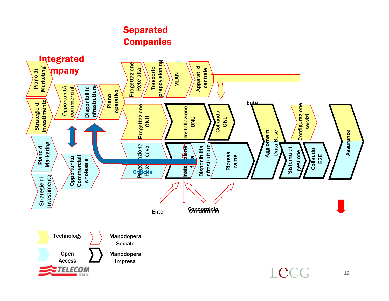#### Separated **Companies**

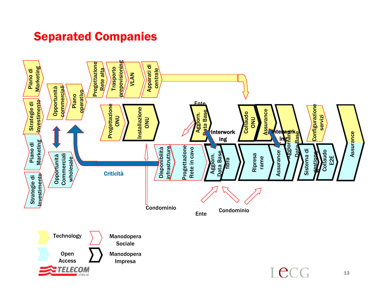## Separated Companies

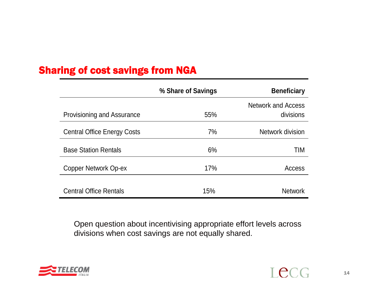## Sharing of cost savings from NGA

|                                    | % Share of Savings | <b>Beneficiary</b>                     |
|------------------------------------|--------------------|----------------------------------------|
| <b>Provisioning and Assurance</b>  | 55%                | <b>Network and Access</b><br>divisions |
| <b>Central Office Energy Costs</b> | 7%                 | Network division                       |
| <b>Base Station Rentals</b>        | 6%                 | TIM                                    |
| Copper Network Op-ex               | 17%                | Access                                 |
| <b>Central Office Rentals</b>      | 15%                | <b>Network</b>                         |

Open question about incentivising appropriate effort levels across divisions when cost savings are not equally shared.

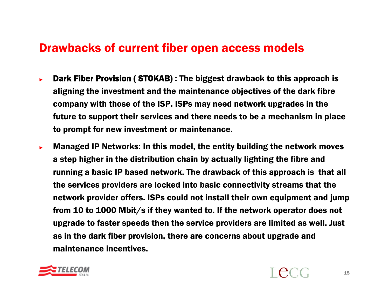## Drawbacks of current fiber open access models

- ►**Dark Fiber Provision (STOKAB):** The biggest drawback to this approach is aligning the investment and the maintenance objectives of the dark fibre company with those of the ISP. ISPs may need network upgrades in the future to support their services and there needs to be a mechanism in place to prompt for new investment or maintenance.
- ► Managed IP Networks: In this model, the entity building the network moves a step higher in the distribution chain by actually lighting the fibre and running a basic IP based network. The drawback of this approach is that all the services providers are locked into basic connectivity streams that the network provider offers. ISPs could not install their own equipment and jump from 10 to 1000 Mbit/s if they wanted to. If the network operator does not upgrade to faster speeds then the service providers are limited as well. Just as in the dark fiber provision, there are concerns about upgrade and maintenance incentives.

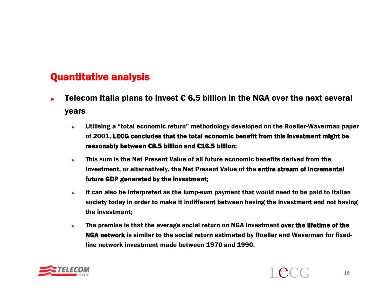## Quantitative analysis

- ►Telecom Italia plans to invest  $\epsilon$  6.5 billion in the NGA over the next several years
	- ► Utilising a "total economic return" methodology developed on the Roeller-Waverman paper of 2001, LECG concludes that the total economic benefit from this investment might be reasonably between €8.5 billion and €16.5 billion;
	- ► This sum is the Net Present Value of all future economic benefits derived from the investment, or alternatively, the Net Present Value of the entire stream of incremental future GDP generated by the investment;
	- ► It can also be interpreted as the lump-sum payment that would need to be paid to Italian society today in order to make it indifferent between having the investment and not having the investment;
	- ► The premise is that the average social return on NGA investment over the lifetime of the NGA network is similar to the social return estimated by Roeller and Waverman for fixedline network investment made between 1970 and 1990.

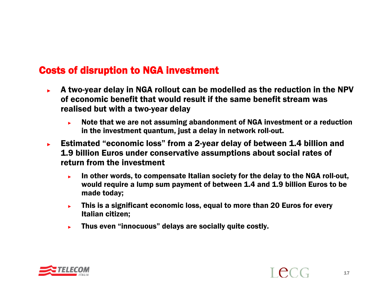## Costs of disruption to NGA investment

- ► A two-year delay in NGA rollout can be modelled as the reduction in the NPV of economic benefit that would result if the same benefit stream was realised but with a two-year delay
	- ► Note that we are not assuming abandonment of NGA investment or a reduction in the investment quantum, just a delay in network roll-out.
- ► Estimated "economic loss" from a 2-year delay of between 1.4 billion and 1.9 billion Euros under conservative assumptions about social rates of return from the investment
	- ► In other words, to compensate Italian society for the delay to the NGA roll-out, would require a lump sum payment of between 1.4 and 1.9 billion Euros to be made today;
	- ► This is a significant economic loss, equal to more than 20 Euros for every Italian citizen;
	- ►Thus even "innocuous" delays are socially quite costly.